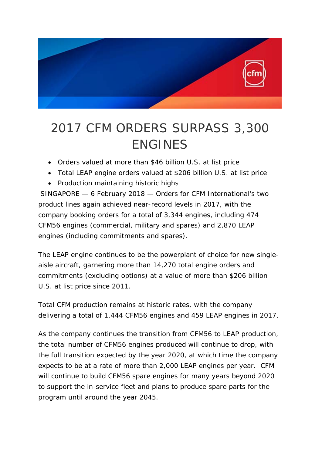

## 2017 CFM ORDERS SURPASS 3,300 ENGINES

- *Orders valued at more than \$46 billion U.S. at list price*
- *Total LEAP engine orders valued at \$206 billion U.S. at list price*
- *Production maintaining historic highs*

SINGAPORE — 6 February 2018 — Orders for CFM International's two product lines again achieved near-record levels in 2017, with the company booking orders for a total of 3,344 engines, including 474 CFM56 engines (commercial, military and spares) and 2,870 LEAP engines (including commitments and spares).

The LEAP engine continues to be the powerplant of choice for new singleaisle aircraft, garnering more than 14,270 total engine orders and commitments (excluding options) at a value of more than \$206 billion U.S. at list price since 2011.

Total CFM production remains at historic rates, with the company delivering a total of 1,444 CFM56 engines and 459 LEAP engines in 2017.

As the company continues the transition from CFM56 to LEAP production, the total number of CFM56 engines produced will continue to drop, with the full transition expected by the year 2020, at which time the company expects to be at a rate of more than 2,000 LEAP engines per year. CFM will continue to build CFM56 spare engines for many years beyond 2020 to support the in-service fleet and plans to produce spare parts for the program until around the year 2045.